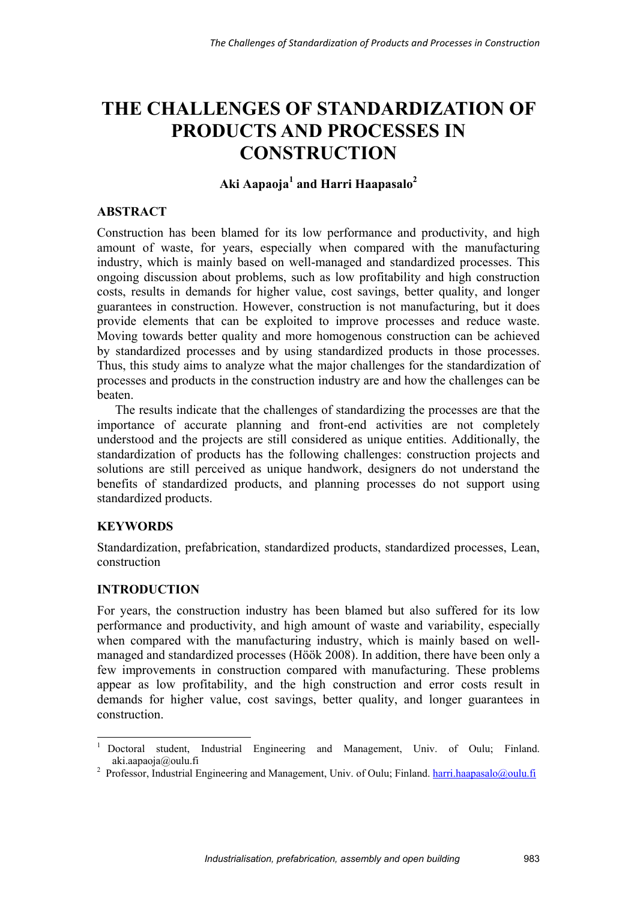# **THE CHALLENGES OF STANDARDIZATION OF PRODUCTS AND PROCESSES IN CONSTRUCTION**

## Aki Aapaoja<sup>1</sup> and Harri Haapasalo<sup>2</sup>

## **ABSTRACT**

Construction has been blamed for its low performance and productivity, and high amount of waste, for years, especially when compared with the manufacturing industry, which is mainly based on well-managed and standardized processes. This ongoing discussion about problems, such as low profitability and high construction costs, results in demands for higher value, cost savings, better quality, and longer guarantees in construction. However, construction is not manufacturing, but it does provide elements that can be exploited to improve processes and reduce waste. Moving towards better quality and more homogenous construction can be achieved by standardized processes and by using standardized products in those processes. Thus, this study aims to analyze what the major challenges for the standardization of processes and products in the construction industry are and how the challenges can be beaten.

The results indicate that the challenges of standardizing the processes are that the importance of accurate planning and front-end activities are not completely understood and the projects are still considered as unique entities. Additionally, the standardization of products has the following challenges: construction projects and solutions are still perceived as unique handwork, designers do not understand the benefits of standardized products, and planning processes do not support using standardized products.

## **KEYWORDS**

Standardization, prefabrication, standardized products, standardized processes, Lean, construction

## **INTRODUCTION**

For years, the construction industry has been blamed but also suffered for its low performance and productivity, and high amount of waste and variability, especially when compared with the manufacturing industry, which is mainly based on wellmanaged and standardized processes (Höök 2008). In addition, there have been only a few improvements in construction compared with manufacturing. These problems appear as low profitability, and the high construction and error costs result in demands for higher value, cost savings, better quality, and longer guarantees in construction.

 $\,1\,$ <sup>1</sup> Doctoral student, Industrial Engineering and Management, Univ. of Oulu; Finland.

aki.aapaoja@oulu.fi<br><sup>2</sup> Professor, Industrial Engineering and Management, Univ. of Oulu; Finland. harri.haapasalo@oulu.fi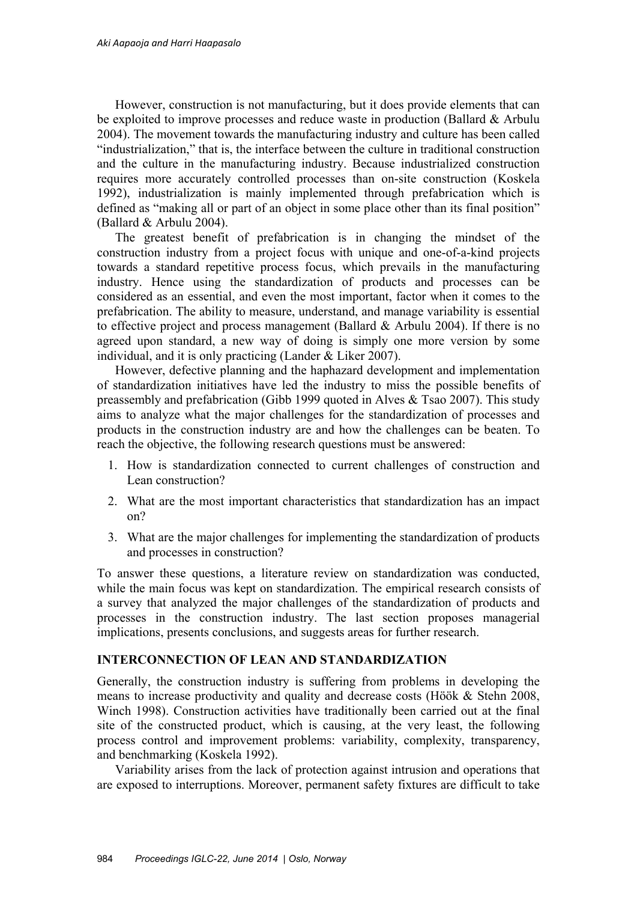However, construction is not manufacturing, but it does provide elements that can be exploited to improve processes and reduce waste in production (Ballard & Arbulu 2004). The movement towards the manufacturing industry and culture has been called "industrialization," that is, the interface between the culture in traditional construction and the culture in the manufacturing industry. Because industrialized construction requires more accurately controlled processes than on-site construction (Koskela 1992), industrialization is mainly implemented through prefabrication which is defined as "making all or part of an object in some place other than its final position" (Ballard & Arbulu 2004).

The greatest benefit of prefabrication is in changing the mindset of the construction industry from a project focus with unique and one-of-a-kind projects towards a standard repetitive process focus, which prevails in the manufacturing industry. Hence using the standardization of products and processes can be considered as an essential, and even the most important, factor when it comes to the prefabrication. The ability to measure, understand, and manage variability is essential to effective project and process management (Ballard & Arbulu 2004). If there is no agreed upon standard, a new way of doing is simply one more version by some individual, and it is only practicing (Lander & Liker 2007).

However, defective planning and the haphazard development and implementation of standardization initiatives have led the industry to miss the possible benefits of preassembly and prefabrication (Gibb 1999 quoted in Alves & Tsao 2007). This study aims to analyze what the major challenges for the standardization of processes and products in the construction industry are and how the challenges can be beaten. To reach the objective, the following research questions must be answered:

- 1. How is standardization connected to current challenges of construction and Lean construction?
- 2. What are the most important characteristics that standardization has an impact on?
- 3. What are the major challenges for implementing the standardization of products and processes in construction?

To answer these questions, a literature review on standardization was conducted, while the main focus was kept on standardization. The empirical research consists of a survey that analyzed the major challenges of the standardization of products and processes in the construction industry. The last section proposes managerial implications, presents conclusions, and suggests areas for further research.

### **INTERCONNECTION OF LEAN AND STANDARDIZATION**

Generally, the construction industry is suffering from problems in developing the means to increase productivity and quality and decrease costs (Höök & Stehn 2008, Winch 1998). Construction activities have traditionally been carried out at the final site of the constructed product, which is causing, at the very least, the following process control and improvement problems: variability, complexity, transparency, and benchmarking (Koskela 1992).

Variability arises from the lack of protection against intrusion and operations that are exposed to interruptions. Moreover, permanent safety fixtures are difficult to take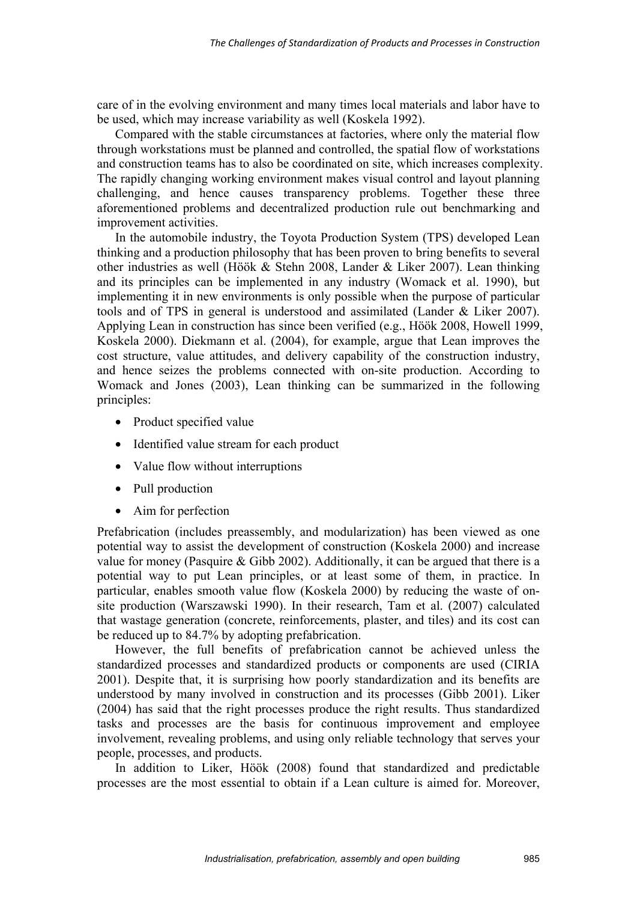care of in the evolving environment and many times local materials and labor have to be used, which may increase variability as well (Koskela 1992).

Compared with the stable circumstances at factories, where only the material flow through workstations must be planned and controlled, the spatial flow of workstations and construction teams has to also be coordinated on site, which increases complexity. The rapidly changing working environment makes visual control and layout planning challenging, and hence causes transparency problems. Together these three aforementioned problems and decentralized production rule out benchmarking and improvement activities.

In the automobile industry, the Toyota Production System (TPS) developed Lean thinking and a production philosophy that has been proven to bring benefits to several other industries as well (Höök & Stehn 2008, Lander & Liker 2007). Lean thinking and its principles can be implemented in any industry (Womack et al. 1990), but implementing it in new environments is only possible when the purpose of particular tools and of TPS in general is understood and assimilated (Lander & Liker 2007). Applying Lean in construction has since been verified (e.g., Höök 2008, Howell 1999, Koskela 2000). Diekmann et al. (2004), for example, argue that Lean improves the cost structure, value attitudes, and delivery capability of the construction industry, and hence seizes the problems connected with on-site production. According to Womack and Jones (2003), Lean thinking can be summarized in the following principles:

- Product specified value
- Identified value stream for each product
- Value flow without interruptions
- Pull production
- Aim for perfection

Prefabrication (includes preassembly, and modularization) has been viewed as one potential way to assist the development of construction (Koskela 2000) and increase value for money (Pasquire  $&$  Gibb 2002). Additionally, it can be argued that there is a potential way to put Lean principles, or at least some of them, in practice. In particular, enables smooth value flow (Koskela 2000) by reducing the waste of onsite production (Warszawski 1990). In their research, Tam et al. (2007) calculated that wastage generation (concrete, reinforcements, plaster, and tiles) and its cost can be reduced up to 84.7% by adopting prefabrication.

However, the full benefits of prefabrication cannot be achieved unless the standardized processes and standardized products or components are used (CIRIA 2001). Despite that, it is surprising how poorly standardization and its benefits are understood by many involved in construction and its processes (Gibb 2001). Liker (2004) has said that the right processes produce the right results. Thus standardized tasks and processes are the basis for continuous improvement and employee involvement, revealing problems, and using only reliable technology that serves your people, processes, and products.

In addition to Liker, Höök (2008) found that standardized and predictable processes are the most essential to obtain if a Lean culture is aimed for. Moreover,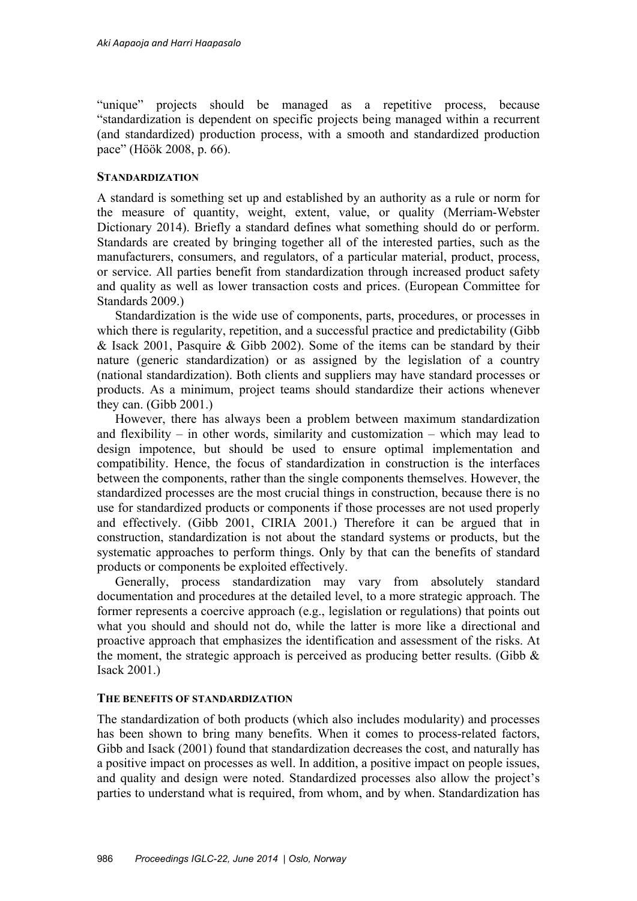"unique" projects should be managed as a repetitive process, because "standardization is dependent on specific projects being managed within a recurrent (and standardized) production process, with a smooth and standardized production pace" (Höök 2008, p. 66).

### **STANDARDIZATION**

A standard is something set up and established by an authority as a rule or norm for the measure of quantity, weight, extent, value, or quality (Merriam-Webster Dictionary 2014). Briefly a standard defines what something should do or perform. Standards are created by bringing together all of the interested parties, such as the manufacturers, consumers, and regulators, of a particular material, product, process, or service. All parties benefit from standardization through increased product safety and quality as well as lower transaction costs and prices. (European Committee for Standards 2009.)

Standardization is the wide use of components, parts, procedures, or processes in which there is regularity, repetition, and a successful practice and predictability (Gibb) & Isack 2001, Pasquire & Gibb 2002). Some of the items can be standard by their nature (generic standardization) or as assigned by the legislation of a country (national standardization). Both clients and suppliers may have standard processes or products. As a minimum, project teams should standardize their actions whenever they can. (Gibb 2001.)

However, there has always been a problem between maximum standardization and flexibility – in other words, similarity and customization – which may lead to design impotence, but should be used to ensure optimal implementation and compatibility. Hence, the focus of standardization in construction is the interfaces between the components, rather than the single components themselves. However, the standardized processes are the most crucial things in construction, because there is no use for standardized products or components if those processes are not used properly and effectively. (Gibb 2001, CIRIA 2001.) Therefore it can be argued that in construction, standardization is not about the standard systems or products, but the systematic approaches to perform things. Only by that can the benefits of standard products or components be exploited effectively.

Generally, process standardization may vary from absolutely standard documentation and procedures at the detailed level, to a more strategic approach. The former represents a coercive approach (e.g., legislation or regulations) that points out what you should and should not do, while the latter is more like a directional and proactive approach that emphasizes the identification and assessment of the risks. At the moment, the strategic approach is perceived as producing better results. (Gibb  $\&$ Isack 2001.)

### **THE BENEFITS OF STANDARDIZATION**

The standardization of both products (which also includes modularity) and processes has been shown to bring many benefits. When it comes to process-related factors, Gibb and Isack (2001) found that standardization decreases the cost, and naturally has a positive impact on processes as well. In addition, a positive impact on people issues, and quality and design were noted. Standardized processes also allow the project's parties to understand what is required, from whom, and by when. Standardization has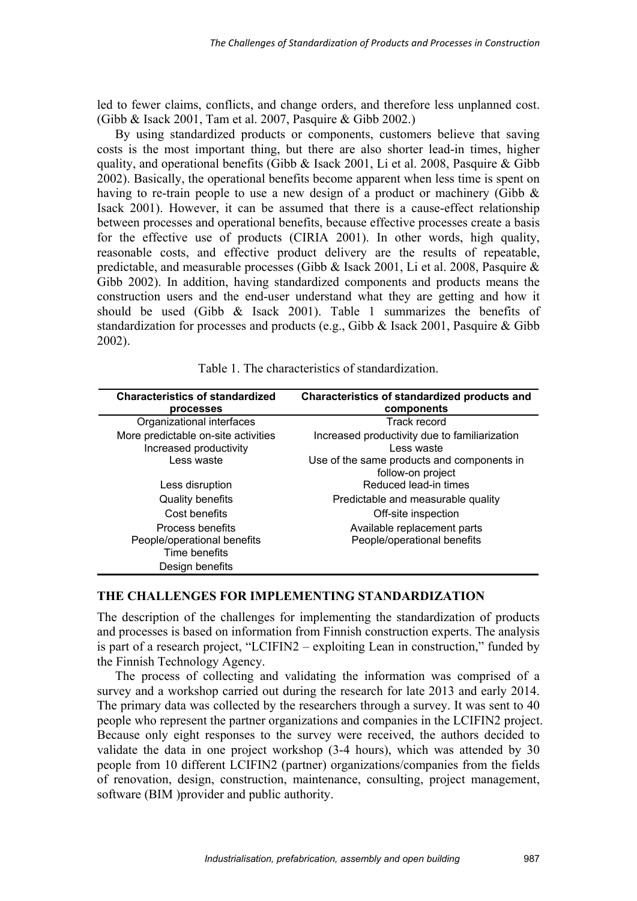led to fewer claims, conflicts, and change orders, and therefore less unplanned cost. (Gibb & Isack 2001, Tam et al. 2007, Pasquire & Gibb 2002.)

By using standardized products or components, customers believe that saving costs is the most important thing, but there are also shorter lead-in times, higher quality, and operational benefits (Gibb & Isack 2001, Li et al. 2008, Pasquire & Gibb 2002). Basically, the operational benefits become apparent when less time is spent on having to re-train people to use a new design of a product or machinery (Gibb  $\&$ Isack 2001). However, it can be assumed that there is a cause-effect relationship between processes and operational benefits, because effective processes create a basis for the effective use of products (CIRIA 2001). In other words, high quality, reasonable costs, and effective product delivery are the results of repeatable, predictable, and measurable processes (Gibb & Isack 2001, Li et al. 2008, Pasquire & Gibb 2002). In addition, having standardized components and products means the construction users and the end-user understand what they are getting and how it should be used (Gibb & Isack 2001). Table 1 summarizes the benefits of standardization for processes and products (e.g., Gibb & Isack 2001, Pasquire & Gibb 2002).

| <b>Characteristics of standardized</b> | Characteristics of standardized products and  |
|----------------------------------------|-----------------------------------------------|
| processes                              | components                                    |
| Organizational interfaces              | Track record                                  |
| More predictable on-site activities    | Increased productivity due to familiarization |
| Increased productivity                 | Less waste                                    |
| Less waste                             | Use of the same products and components in    |
|                                        | follow-on project                             |
| Less disruption                        | Reduced lead-in times                         |
| <b>Quality benefits</b>                | Predictable and measurable quality            |
| Cost benefits                          | Off-site inspection                           |
| Process benefits                       | Available replacement parts                   |
| People/operational benefits            | People/operational benefits                   |
| Time benefits                          |                                               |
| Design benefits                        |                                               |

Table 1. The characteristics of standardization.

## **THE CHALLENGES FOR IMPLEMENTING STANDARDIZATION**

The description of the challenges for implementing the standardization of products and processes is based on information from Finnish construction experts. The analysis is part of a research project, "LCIFIN2 – exploiting Lean in construction," funded by the Finnish Technology Agency.

The process of collecting and validating the information was comprised of a survey and a workshop carried out during the research for late 2013 and early 2014. The primary data was collected by the researchers through a survey. It was sent to 40 people who represent the partner organizations and companies in the LCIFIN2 project. Because only eight responses to the survey were received, the authors decided to validate the data in one project workshop (3-4 hours), which was attended by 30 people from 10 different LCIFIN2 (partner) organizations/companies from the fields of renovation, design, construction, maintenance, consulting, project management, software (BIM )provider and public authority.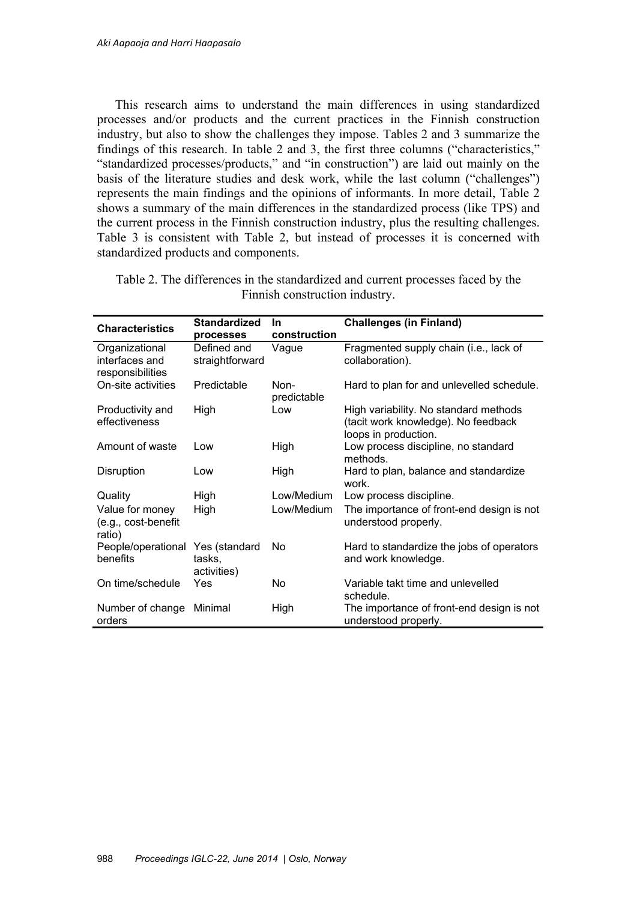This research aims to understand the main differences in using standardized processes and/or products and the current practices in the Finnish construction industry, but also to show the challenges they impose. Tables 2 and 3 summarize the findings of this research. In table 2 and 3, the first three columns ("characteristics," "standardized processes/products," and "in construction") are laid out mainly on the basis of the literature studies and desk work, while the last column ("challenges") represents the main findings and the opinions of informants. In more detail, Table 2 shows a summary of the main differences in the standardized process (like TPS) and the current process in the Finnish construction industry, plus the resulting challenges. Table 3 is consistent with Table 2, but instead of processes it is concerned with standardized products and components.

| <b>Characteristics</b>                               | <b>Standardized</b>            | <b>In</b>           | <b>Challenges (in Finland)</b>                                                                       |
|------------------------------------------------------|--------------------------------|---------------------|------------------------------------------------------------------------------------------------------|
|                                                      | processes                      | construction        |                                                                                                      |
| Organizational<br>interfaces and<br>responsibilities | Defined and<br>straightforward | Vague               | Fragmented supply chain (i.e., lack of<br>collaboration).                                            |
| On-site activities                                   | Predictable                    | Non-<br>predictable | Hard to plan for and unlevelled schedule.                                                            |
| Productivity and<br>effectiveness                    | High                           | Low                 | High variability. No standard methods<br>(tacit work knowledge). No feedback<br>loops in production. |
| Amount of waste                                      | Low                            | High                | Low process discipline, no standard<br>methods.                                                      |
| Disruption                                           | Low                            | High                | Hard to plan, balance and standardize<br>work.                                                       |
| Quality                                              | High                           | Low/Medium          | Low process discipline.                                                                              |
| Value for money<br>(e.g., cost-benefit<br>ratio)     | High                           | Low/Medium          | The importance of front-end design is not<br>understood properly.                                    |
| People/operational Yes (standard<br>benefits         | tasks,<br>activities)          | No.                 | Hard to standardize the jobs of operators<br>and work knowledge.                                     |
| On time/schedule                                     | Yes                            | No                  | Variable takt time and unlevelled<br>schedule.                                                       |
| Number of change<br>orders                           | Minimal                        | High                | The importance of front-end design is not<br>understood properly.                                    |

Table 2. The differences in the standardized and current processes faced by the Finnish construction industry.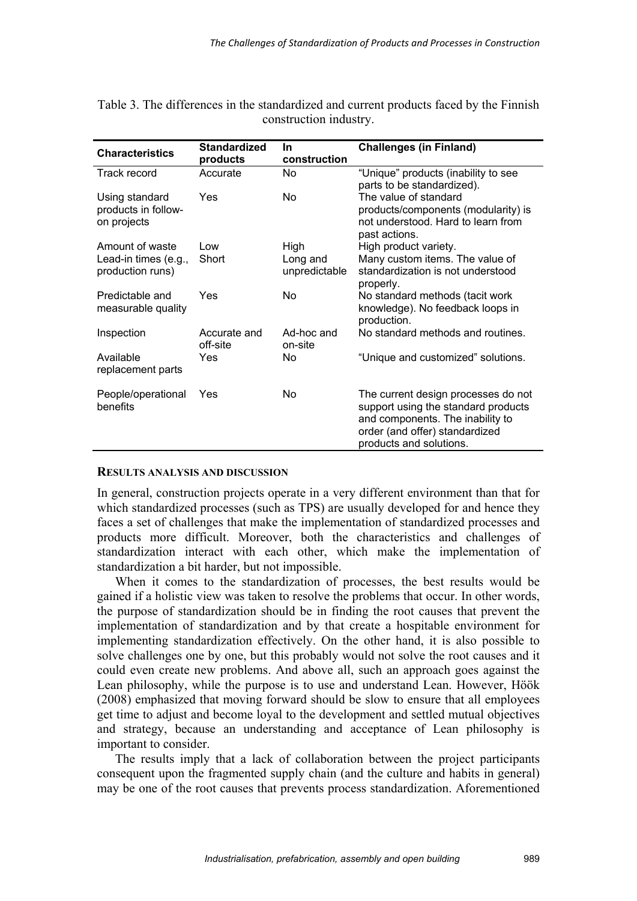| <b>Characteristics</b> | <b>Standardized</b> | In.           | <b>Challenges (in Finland)</b>      |
|------------------------|---------------------|---------------|-------------------------------------|
|                        | products            | construction  |                                     |
| Track record           | Accurate            | No            | "Unique" products (inability to see |
|                        |                     |               | parts to be standardized).          |
| Using standard         | Yes                 | No.           | The value of standard               |
| products in follow-    |                     |               | products/components (modularity) is |
| on projects            |                     |               | not understood. Hard to learn from  |
|                        |                     |               | past actions.                       |
| Amount of waste        | Low                 | High          | High product variety.               |
| Lead-in times (e.g.,   | Short               | Long and      | Many custom items. The value of     |
| production runs)       |                     | unpredictable | standardization is not understood   |
|                        |                     |               | properly.                           |
| Predictable and        | Yes                 | No            | No standard methods (tacit work     |
| measurable quality     |                     |               | knowledge). No feedback loops in    |
|                        |                     |               | production.                         |
| Inspection             | Accurate and        | Ad-hoc and    | No standard methods and routines.   |
|                        | off-site            | on-site       |                                     |
| Available              | Yes                 | No            | "Unique and customized" solutions.  |
| replacement parts      |                     |               |                                     |
| People/operational     | Yes                 | <b>No</b>     | The current design processes do not |
| benefits               |                     |               | support using the standard products |
|                        |                     |               | and components. The inability to    |
|                        |                     |               | order (and offer) standardized      |
|                        |                     |               | products and solutions.             |
|                        |                     |               |                                     |

Table 3. The differences in the standardized and current products faced by the Finnish construction industry.

#### **RESULTS ANALYSIS AND DISCUSSION**

In general, construction projects operate in a very different environment than that for which standardized processes (such as TPS) are usually developed for and hence they faces a set of challenges that make the implementation of standardized processes and products more difficult. Moreover, both the characteristics and challenges of standardization interact with each other, which make the implementation of standardization a bit harder, but not impossible.

When it comes to the standardization of processes, the best results would be gained if a holistic view was taken to resolve the problems that occur. In other words, the purpose of standardization should be in finding the root causes that prevent the implementation of standardization and by that create a hospitable environment for implementing standardization effectively. On the other hand, it is also possible to solve challenges one by one, but this probably would not solve the root causes and it could even create new problems. And above all, such an approach goes against the Lean philosophy, while the purpose is to use and understand Lean. However, Höök (2008) emphasized that moving forward should be slow to ensure that all employees get time to adjust and become loyal to the development and settled mutual objectives and strategy, because an understanding and acceptance of Lean philosophy is important to consider.

The results imply that a lack of collaboration between the project participants consequent upon the fragmented supply chain (and the culture and habits in general) may be one of the root causes that prevents process standardization. Aforementioned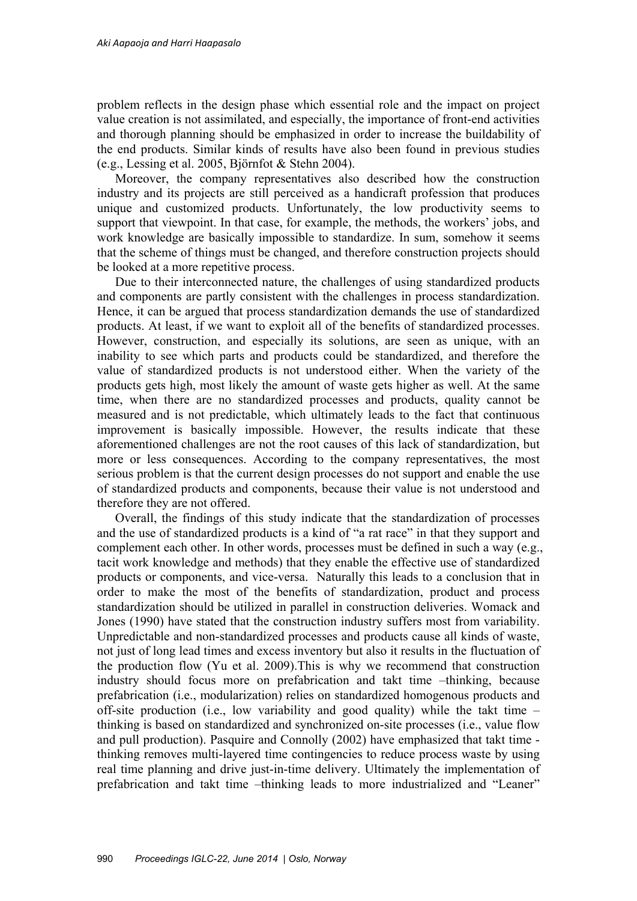problem reflects in the design phase which essential role and the impact on project value creation is not assimilated, and especially, the importance of front-end activities and thorough planning should be emphasized in order to increase the buildability of the end products. Similar kinds of results have also been found in previous studies (e.g., Lessing et al. 2005, Björnfot & Stehn 2004).

Moreover, the company representatives also described how the construction industry and its projects are still perceived as a handicraft profession that produces unique and customized products. Unfortunately, the low productivity seems to support that viewpoint. In that case, for example, the methods, the workers' jobs, and work knowledge are basically impossible to standardize. In sum, somehow it seems that the scheme of things must be changed, and therefore construction projects should be looked at a more repetitive process.

Due to their interconnected nature, the challenges of using standardized products and components are partly consistent with the challenges in process standardization. Hence, it can be argued that process standardization demands the use of standardized products. At least, if we want to exploit all of the benefits of standardized processes. However, construction, and especially its solutions, are seen as unique, with an inability to see which parts and products could be standardized, and therefore the value of standardized products is not understood either. When the variety of the products gets high, most likely the amount of waste gets higher as well. At the same time, when there are no standardized processes and products, quality cannot be measured and is not predictable, which ultimately leads to the fact that continuous improvement is basically impossible. However, the results indicate that these aforementioned challenges are not the root causes of this lack of standardization, but more or less consequences. According to the company representatives, the most serious problem is that the current design processes do not support and enable the use of standardized products and components, because their value is not understood and therefore they are not offered.

Overall, the findings of this study indicate that the standardization of processes and the use of standardized products is a kind of "a rat race" in that they support and complement each other. In other words, processes must be defined in such a way (e.g., tacit work knowledge and methods) that they enable the effective use of standardized products or components, and vice-versa. Naturally this leads to a conclusion that in order to make the most of the benefits of standardization, product and process standardization should be utilized in parallel in construction deliveries. Womack and Jones (1990) have stated that the construction industry suffers most from variability. Unpredictable and non-standardized processes and products cause all kinds of waste, not just of long lead times and excess inventory but also it results in the fluctuation of the production flow (Yu et al. 2009).This is why we recommend that construction industry should focus more on prefabrication and takt time –thinking, because prefabrication (i.e., modularization) relies on standardized homogenous products and off-site production (i.e., low variability and good quality) while the takt time – thinking is based on standardized and synchronized on-site processes (i.e., value flow and pull production). Pasquire and Connolly (2002) have emphasized that takt time thinking removes multi-layered time contingencies to reduce process waste by using real time planning and drive just-in-time delivery. Ultimately the implementation of prefabrication and takt time –thinking leads to more industrialized and "Leaner"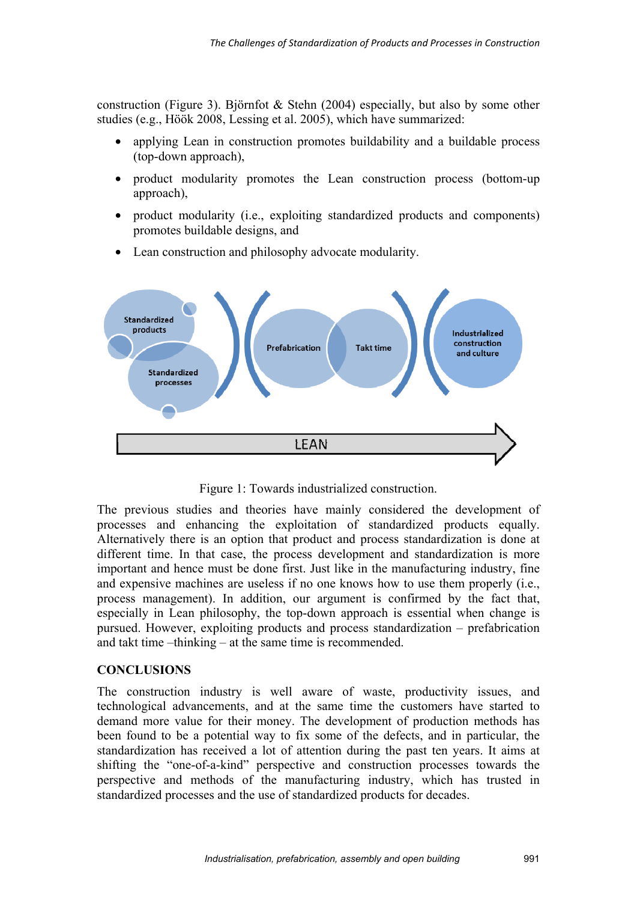construction (Figure 3). Björnfot  $\&$  Stehn (2004) especially, but also by some other studies (e.g., Höök 2008, Lessing et al. 2005), which have summarized:

- applying Lean in construction promotes buildability and a buildable process (top-down approach),
- product modularity promotes the Lean construction process (bottom-up approach),
- product modularity (i.e., exploiting standardized products and components) promotes buildable designs, and
- Lean construction and philosophy advocate modularity.



Figure 1: Towards industrialized construction.

The previous studies and theories have mainly considered the development of processes and enhancing the exploitation of standardized products equally. Alternatively there is an option that product and process standardization is done at different time. In that case, the process development and standardization is more important and hence must be done first. Just like in the manufacturing industry, fine and expensive machines are useless if no one knows how to use them properly (i.e., process management). In addition, our argument is confirmed by the fact that, especially in Lean philosophy, the top-down approach is essential when change is pursued. However, exploiting products and process standardization – prefabrication and takt time –thinking – at the same time is recommended.

### **CONCLUSIONS**

The construction industry is well aware of waste, productivity issues, and technological advancements, and at the same time the customers have started to demand more value for their money. The development of production methods has been found to be a potential way to fix some of the defects, and in particular, the standardization has received a lot of attention during the past ten years. It aims at shifting the "one-of-a-kind" perspective and construction processes towards the perspective and methods of the manufacturing industry, which has trusted in standardized processes and the use of standardized products for decades.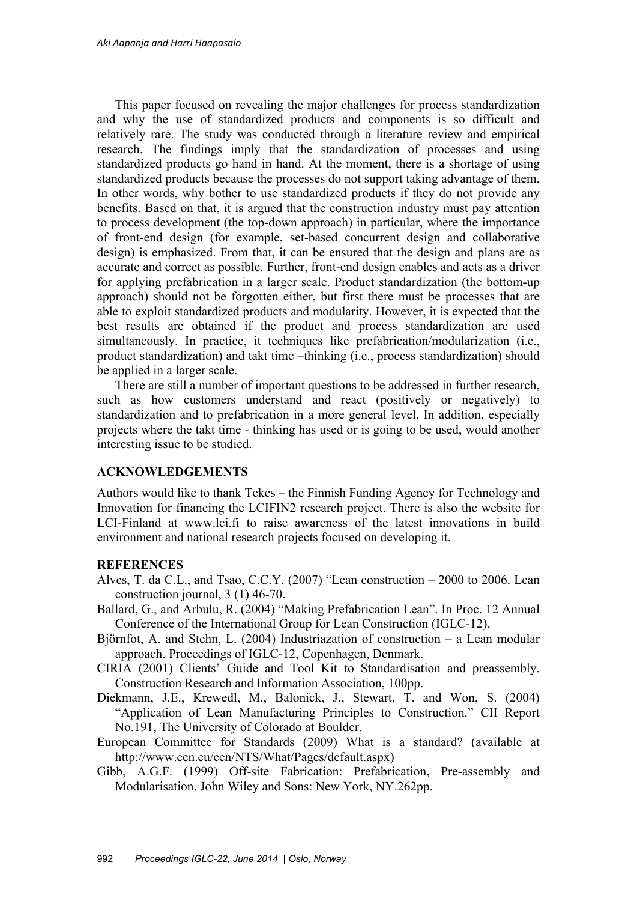This paper focused on revealing the major challenges for process standardization and why the use of standardized products and components is so difficult and relatively rare. The study was conducted through a literature review and empirical research. The findings imply that the standardization of processes and using standardized products go hand in hand. At the moment, there is a shortage of using standardized products because the processes do not support taking advantage of them. In other words, why bother to use standardized products if they do not provide any benefits. Based on that, it is argued that the construction industry must pay attention to process development (the top-down approach) in particular, where the importance of front-end design (for example, set-based concurrent design and collaborative design) is emphasized. From that, it can be ensured that the design and plans are as accurate and correct as possible. Further, front-end design enables and acts as a driver for applying prefabrication in a larger scale. Product standardization (the bottom-up approach) should not be forgotten either, but first there must be processes that are able to exploit standardized products and modularity. However, it is expected that the best results are obtained if the product and process standardization are used simultaneously. In practice, it techniques like prefabrication/modularization (i.e., product standardization) and takt time –thinking (i.e., process standardization) should be applied in a larger scale.

There are still a number of important questions to be addressed in further research, such as how customers understand and react (positively or negatively) to standardization and to prefabrication in a more general level. In addition, especially projects where the takt time - thinking has used or is going to be used, would another interesting issue to be studied.

### **ACKNOWLEDGEMENTS**

Authors would like to thank Tekes – the Finnish Funding Agency for Technology and Innovation for financing the LCIFIN2 research project. There is also the website for LCI-Finland at www.lci.fi to raise awareness of the latest innovations in build environment and national research projects focused on developing it.

### **REFERENCES**

- Alves, T. da C.L., and Tsao, C.C.Y. (2007) "Lean construction 2000 to 2006. Lean construction journal, 3 (1) 46-70.
- Ballard, G., and Arbulu, R. (2004) "Making Prefabrication Lean". In Proc. 12 Annual Conference of the International Group for Lean Construction (IGLC-12).
- Björnfot, A. and Stehn, L. (2004) Industriazation of construction a Lean modular approach. Proceedings of IGLC-12, Copenhagen, Denmark.
- CIRIA (2001) Clients' Guide and Tool Kit to Standardisation and preassembly. Construction Research and Information Association, 100pp.
- Diekmann, J.E., Krewedl, M., Balonick, J., Stewart, T. and Won, S. (2004) "Application of Lean Manufacturing Principles to Construction." CII Report No.191, The University of Colorado at Boulder.
- European Committee for Standards (2009) What is a standard? (available at http://www.cen.eu/cen/NTS/What/Pages/default.aspx)
- Gibb, A.G.F. (1999) Off-site Fabrication: Prefabrication, Pre-assembly and Modularisation. John Wiley and Sons: New York, NY.262pp.